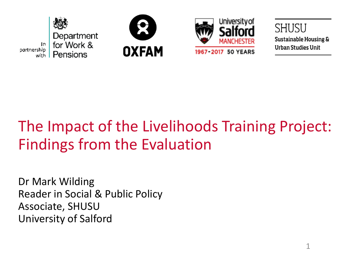





SHUSU **Sustainable Housing & Urban Studies Unit** 

## The Impact of the Livelihoods Training Project: Findings from the Evaluation

Dr Mark Wilding Reader in Social & Public Policy Associate, SHUSU University of Salford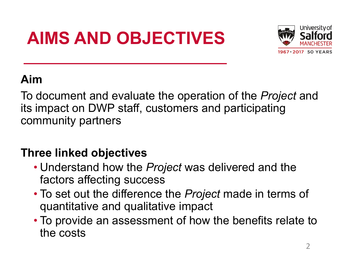# **AIMS AND OBJECTIVES**



### **Aim**

To document and evaluate the operation of the *Project* and its impact on DWP staff, customers and participating community partners

### **Three linked objectives**

- Understand how the *Project* was delivered and the factors affecting success
- To set out the difference the *Project* made in terms of quantitative and qualitative impact
- To provide an assessment of how the benefits relate to the costs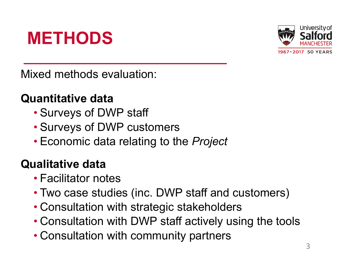## **METHODS**



Mixed methods evaluation:

#### **Quantitative data**

- Surveys of DWP staff
- Surveys of DWP customers
- Economic data relating to the *Project*

#### **Qualitative data**

- Facilitator notes
- Two case studies (inc. DWP staff and customers)
- Consultation with strategic stakeholders
- Consultation with DWP staff actively using the tools
- Consultation with community partners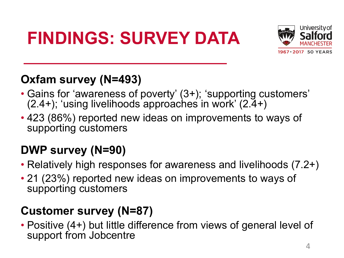# **FINDINGS: SURVEY DATA**



### **Oxfam survey (N=493)**

- Gains for 'awareness of poverty' (3+); 'supporting customers'  $(2.4+)$ ; 'using livelihoods approaches in work'  $(2.4+)$
- 423 (86%) reported new ideas on improvements to ways of supporting customers

### **DWP survey (N=90)**

- Relatively high responses for awareness and livelihoods (7.2+)
- 21 (23%) reported new ideas on improvements to ways of supporting customers

#### **Customer survey (N=87)**

• Positive (4+) but little difference from views of general level of support from Jobcentre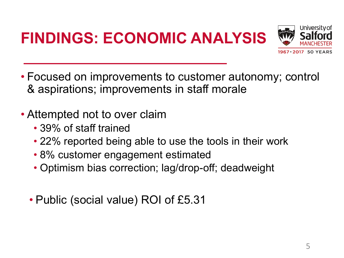

- Focused on improvements to customer autonomy; control & aspirations; improvements in staff morale
- Attempted not to over claim
	- 39% of staff trained
	- 22% reported being able to use the tools in their work
	- 8% customer engagement estimated
	- Optimism bias correction; lag/drop-off; deadweight
	- Public (social value) ROI of £5.31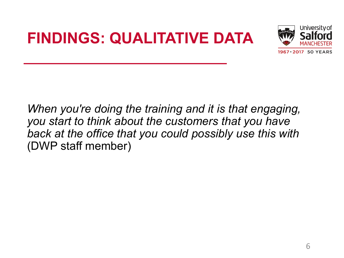## **FINDINGS: QUALITATIVE DATA**



*When you're doing the training and it is that engaging, you start to think about the customers that you have back at the office that you could possibly use this with* (DWP staff member)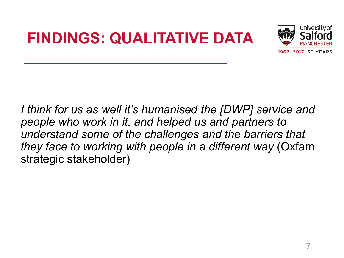## **FINDINGS: QUALITATIVE DATA**



*I think for us as well it's humanised the [DWP] service and people who work in it, and helped us and partners to understand some of the challenges and the barriers that they face to working with people in a different way* (Oxfam strategic stakeholder)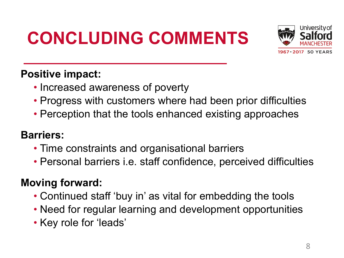# **CONCLUDING COMMENTS**



#### **Positive impact:**

- Increased awareness of poverty
- Progress with customers where had been prior difficulties
- Perception that the tools enhanced existing approaches

#### **Barriers:**

- Time constraints and organisational barriers
- Personal barriers i.e. staff confidence, perceived difficulties

#### **Moving forward:**

- Continued staff 'buy in' as vital for embedding the tools
- Need for regular learning and development opportunities
- Key role for 'leads'